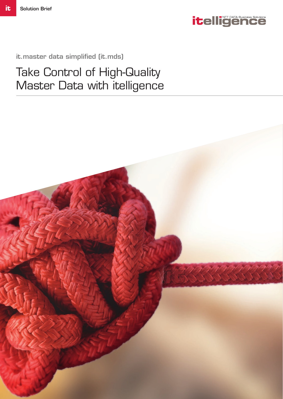

it.master data simplified (it.mds)

Take Control of High-Quality Master Data with itelligence

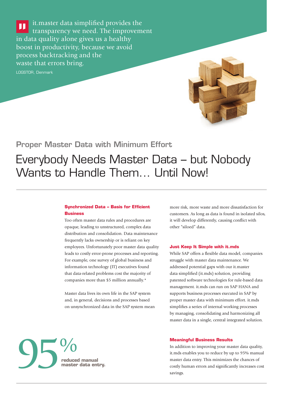it.master data simplified provides the п transparency we need. The improvement in data quality alone gives us a healthy boost in productivity, because we avoid process backtracking and the waste that errors bring.

LOGSTOR, Denmark



# Proper Master Data with Minimum Effort

# Everybody Needs Master Data – but Nobody Wants to Handle Them... Until Now!

## **Synchronized Data – Basis for Efficient Business**

Too often master data rules and procedures are opaque, leading to unstructured, complex data distribution and consolidation. Data maintenance frequently lacks ownership or is reliant on key employees. Unfortunately poor master data quality leads to costly error-prone processes and reporting. For example, one survey of global business and information technology (IT) executives found that data-related problems cost the majority of companies more than \$5 million annually.\*

Master data lives its own life in the SAP system and, in general, decisions and processes based on unsynchronized data in the SAP system mean more risk, more waste and more dissatisfaction for customers. As long as data is found in isolated silos, it will develop differently, causing conflict with other "siloed" data.

#### **Just Keep It Simple with it.mds**

While SAP offers a flexible data model, companies struggle with master data maintenance. We addressed potential gaps with our it.master data simplified (it.mds) solution, providing patented software technologies for rule-based data management. it.mds can run on SAP HANA and supports business processes executed in SAP by proper master data with minimum effort. it.mds simplifies a series of internal working processes by managing, consolidating and harmonizing all master data in a single, central integrated solution.



#### **Meaningful Business Results**

In addition to improving your master data quality, it.mds enables you to reduce by up to 95% manual master data entry. This minimizes the chances of costly human errors and significantly increases cost savings.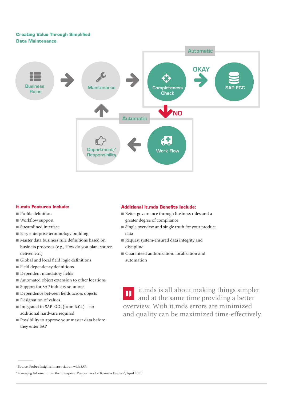## **Creating Value Through Simplified Data Maintenance**



### **it.mds Features Include:**

- Profile definition
- $\blacksquare$  Workflow support
- $\blacksquare$  Streamlined interface
- Easy enterprise terminology building
- n Master data business rule definitions based on business processes (e.g., How do you plan, source, deliver, etc.)
- n Global and local field logic definitions
- $\blacksquare$  Field dependency definitions
- Dependent mandatory fields
- $\blacksquare$  Automated object extension to other locations
- Support for SAP industry solutions
- Dependence between fields across objects
- $\blacksquare$  Designation of values
- $\blacksquare$  Integrated in SAP ECC (from 6.04) no additional hardware required
- $\blacksquare$  Possibility to approve your master data before they enter SAP

## **Additional it.mds Benefits Include:**

- Better governance through business rules and a greater degree of compliance
- Single overview and single truth for your product data
- n Request system-ensured data integrity and discipline
- Guaranteed authorization, localization and automation

it.mds is all about making things simpler  $\mathbf{H}$ and at the same time providing a better overview. With it.mds errors are minimized and quality can be maximized time-effectively.

<sup>–</sup> \*Source: Forbes Insights, in association with SAP,

<sup>&</sup>quot;Managing Information in the Enterprise: Perspectives for Business Leaders", April 2010